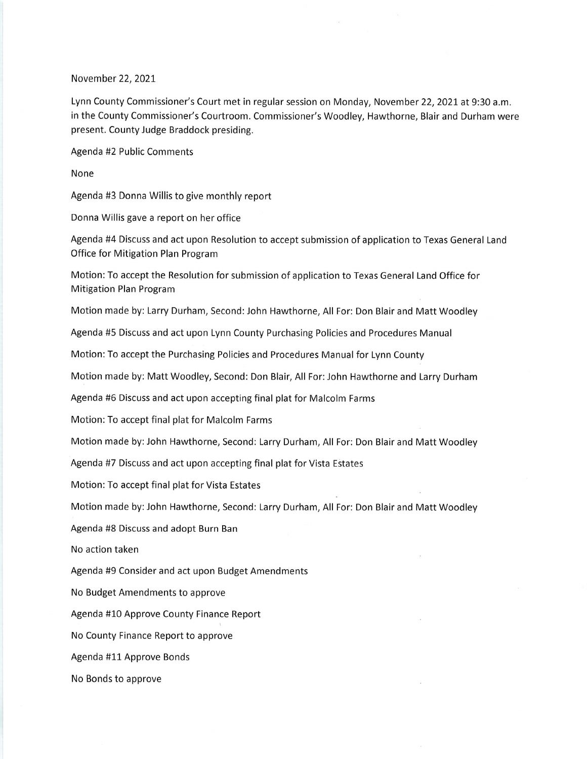## November 22,2021

Lynn County Commissioner's Court met in regular session on Monday, November 22, 2021 at 9:30 a.m. in the County Commissioner's Courtroom. Commissioner's Woodley, Hawthorne, Blair and Durham were present. County Judge Braddock presiding.

Agenda #2 Public Comments

None

Agenda #3 Donna Willis to give monthly report

Donna Willis gave a report on her office

Agenda #4 Discuss and act upon Resolution to accept submission of application to Texas General Land Office for Mitigation Plan Program

Motion: To accept the Resolution for submission of application to Texas General Land Office for Mitigation Plan Program

Motion made by: Larry Durham, Second: John Hawthorne, All For: Don Blair and Matt Woodley

Agenda #5 Discuss and act upon Lynn County Purchasing Policies and Procedures Manual

Motion: To accept the Purchasing Policies and Procedures Manual for Lynn County

Motion made by: Matt Woodley, Second: Don Blair, All For:John Hawthorne and Larry Durham

Agenda #6 Discuss and act upon accepting final plat for Malcolm Farms

Motion: To accept final plat for Malcolm Farms

Motion made by:John Hawthorne, Second: Larry Durham, All For: Don Blair and Matt Woodley

Agenda #7 Discuss and act upon accepting final plat for Vista Estates

Motion: To accept final plat for Vista Estates

Motion made by:John Hawthorne, Second: Larry Durham, All For: Don Blair and Matt Woodley

Agenda #8 Discuss and adopt Burn Ban

No action taken

Agenda #9 Consider and act upon Budget Amendments

No Budget Amendments to approve

Agenda #10 Approve County Finance Report

No County Finance Report to approve

Agenda #11 Approve Bonds

No Bonds to approve